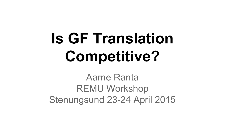# **Is GF Translation Competitive?**

Aarne Ranta REMU Workshop Stenungsund 23-24 April 2015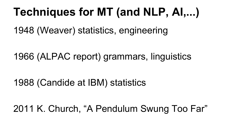# **Techniques for MT (and NLP, AI,...)**

1948 (Weaver) statistics, engineering

1966 (ALPAC report) grammars, linguistics

#### 1988 (Candide at IBM) statistics

2011 K. Church, "A Pendulum Swung Too Far"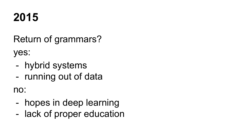### **2015**

Return of grammars?

yes:

- hybrid systems
- running out of data

no:

- hopes in deep learning
- lack of proper education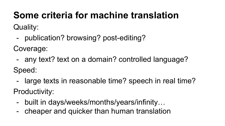#### **Some criteria for machine translation**

Quality:

- publication? browsing? post-editing?

Coverage:

- any text? text on a domain? controlled language?

Speed:

- large texts in reasonable time? speech in real time? Productivity:
	- built in days/weeks/months/years/infinity…
	- cheaper and quicker than human translation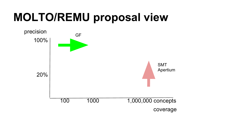# **MOLTO/REMU proposal view**

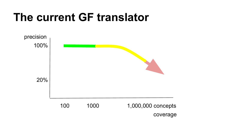### **The current GF translator**

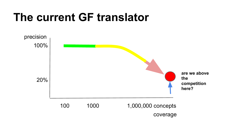### **The current GF translator**

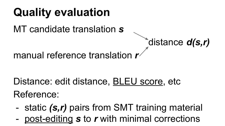### **Quality evaluation**

MT candidate translation *s*

distance *d(s,r)*

manual reference translation *r*

Distance: edit distance, BLEU score, etc Reference:

- static *(s,r)* pairs from SMT training material
- post-editing s to r with minimal corrections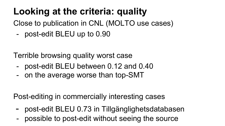#### **Looking at the criteria: quality**

Close to publication in CNL (MOLTO use cases)

- post-edit BLEU up to 0.90

Terrible browsing quality worst case

- post-edit BLEU between 0.12 and 0.40
- on the average worse than top-SMT

Post-editing in commercially interesting cases

- post-edit BLEU 0.73 in Tillgänglighetsdatabasen
- possible to post-edit without seeing the source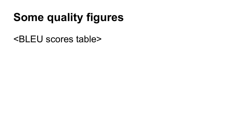# **Some quality figures**

<BLEU scores table>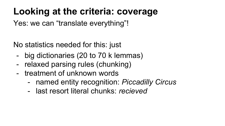#### **Looking at the criteria: coverage**

Yes: we can "translate everything"!

No statistics needed for this: just

- big dictionaries (20 to 70 k lemmas)
- relaxed parsing rules (chunking)
- treatment of unknown words
	- named entity recognition: *Piccadilly Circus*
	- last resort literal chunks: *recieved*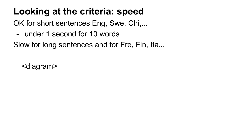#### **Looking at the criteria: speed**

OK for short sentences Eng, Swe, Chi,...

- under 1 second for 10 words

Slow for long sentences and for Fre, Fin, Ita...

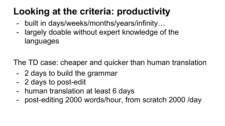#### **Looking at the criteria: productivity**

- built in days/weeks/months/years/infinity…
- largely doable without expert knowledge of the languages

The TD case: cheaper and quicker than human translation

- 2 days to build the grammar
- 2 days to post-edit
- human translation at least 6 days
- post-editing 2000 words/hour, from scratch 2000 /day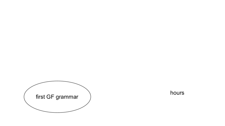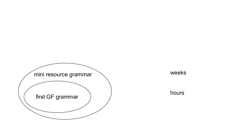

hours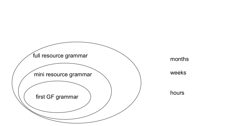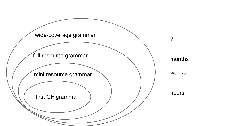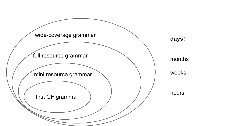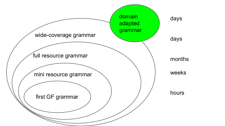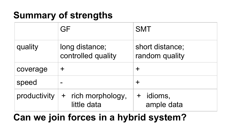#### **Summary of strengths**

|              | GF                                     | <b>SMT</b>                           |
|--------------|----------------------------------------|--------------------------------------|
| quality      | long distance;<br>controlled quality   | short distance;<br>random quality    |
| coverage     | ┿                                      | ╈                                    |
| speed        |                                        | ╈                                    |
| productivity | rich morphology,<br>$+$<br>little data | idioms,<br>$\mathbf +$<br>ample data |

#### **Can we join forces in a hybrid system?**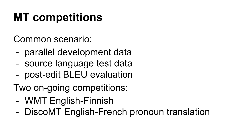# **MT competitions**

Common scenario:

- parallel development data
- source language test data
- post-edit BLEU evaluation
- Two on-going competitions:
	- WMT English-Finnish
	- DiscoMT English-French pronoun translation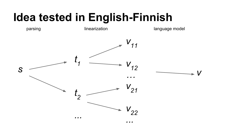### **Idea tested in English-Finnish**

parsing linearization language model

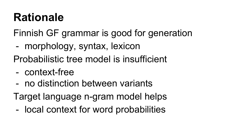### **Rationale**

Finnish GF grammar is good for generation

- morphology, syntax, lexicon
- Probabilistic tree model is insufficient
- context-free
- no distinction between variants
- Target language n-gram model helps
	- local context for word probabilities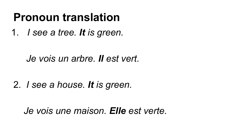### **Pronoun translation**

1. *I see a tree. It is green.*

#### *Je vois un arbre. Il est vert.*

#### 2. *I see a house. It is green.*

 *Je vois une maison. Elle est verte.*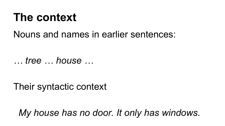#### **The context**

#### Nouns and names in earlier sentences:

*… tree … house …*

Their syntactic context

*My house has no door. It only has windows.*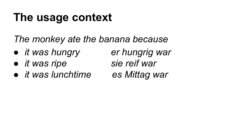## **The usage context**

- *The monkey ate the banana because*
- *● it was hungry er hungrig war*
- *● it was ripe sie reif war*
- *● it was lunchtime es Mittag war*
- -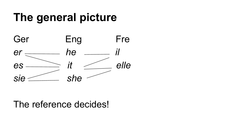## **The general picture**



The reference decides!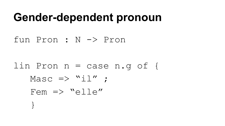#### **Gender-dependent pronoun**

fun Pron : N -> Pron

lin Pron n = case n.g of {  $Massc \Rightarrow "il" ;$ Fem  $\Rightarrow$  "elle" }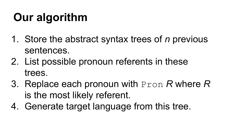# **Our algorithm**

- 1. Store the abstract syntax trees of *n* previous sentences.
- 2. List possible pronoun referents in these trees.
- 3. Replace each pronoun with Pron *R* where *R*  is the most likely referent.
- 4. Generate target language from this tree.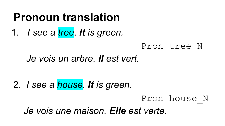### **Pronoun translation**

1. *I see a tree. It is green.*

#### Pron tree\_N

#### *Je vois un arbre. Il est vert.*

2. *I see a house. It is green.* Pron house\_N  *Je vois une maison. Elle est verte.*